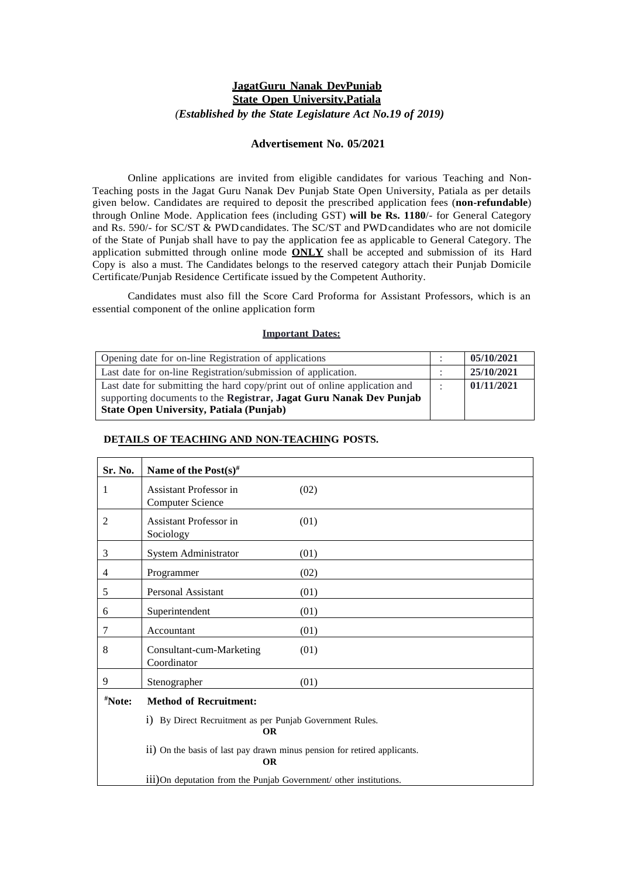## **JagatGuru Nanak DevPunjab State Open University,Patiala** *(Established by the State Legislature Act No.19 of 2019)*

#### **Advertisement No. 05/2021**

Online applications are invited from eligible candidates for various Teaching and Non-Teaching posts in the Jagat Guru Nanak Dev Punjab State Open University, Patiala as per details given below. Candidates are required to deposit the prescribed application fees (**non-refundable**) through Online Mode. Application fees (including GST) **will be Rs. 1180**/- for General Category and Rs. 590/- for SC/ST & PWDcandidates. The SC/ST and PWDcandidates who are not domicile of the State of Punjab shall have to pay the application fee as applicable to General Category. The application submitted through online mode **ONLY** shall be accepted and submission of its Hard Copy is also a must. The Candidates belongs to the reserved category attach their Punjab Domicile Certificate/Punjab Residence Certificate issued by the Competent Authority.

Candidates must also fill the Score Card Proforma for Assistant Professors, which is an essential component of the online application form

#### **Important Dates:**

| Opening date for on-line Registration of applications                      |  | 05/10/2021 |
|----------------------------------------------------------------------------|--|------------|
| Last date for on-line Registration/submission of application.              |  | 25/10/2021 |
| Last date for submitting the hard copy/print out of online application and |  | 01/11/2021 |
| supporting documents to the Registrar, Jagat Guru Nanak Dev Punjab         |  |            |
| <b>State Open University, Patiala (Punjab)</b>                             |  |            |

#### **DETAILS OF TEACHING AND NON-TEACHING POSTS.**

| Sr. No.              | Name of the Post(s) <sup>#</sup>                                                      |      |
|----------------------|---------------------------------------------------------------------------------------|------|
| 1                    | <b>Assistant Professor in</b><br><b>Computer Science</b>                              | (02) |
| $\overline{2}$       | Assistant Professor in<br>Sociology                                                   | (01) |
| 3                    | System Administrator                                                                  | (01) |
| 4                    | Programmer                                                                            | (02) |
| 5                    | <b>Personal Assistant</b>                                                             | (01) |
| 6                    | Superintendent                                                                        | (01) |
| 7                    | Accountant                                                                            | (01) |
| 8                    | Consultant-cum-Marketing<br>Coordinator                                               | (01) |
| 9                    | Stenographer                                                                          | (01) |
| <i><b>*Note:</b></i> | <b>Method of Recruitment:</b>                                                         |      |
|                      | i) By Direct Recruitment as per Punjab Government Rules.<br><b>OR</b>                 |      |
|                      | ii) On the basis of last pay drawn minus pension for retired applicants.<br><b>OR</b> |      |
|                      | iii)On deputation from the Punjab Government/ other institutions.                     |      |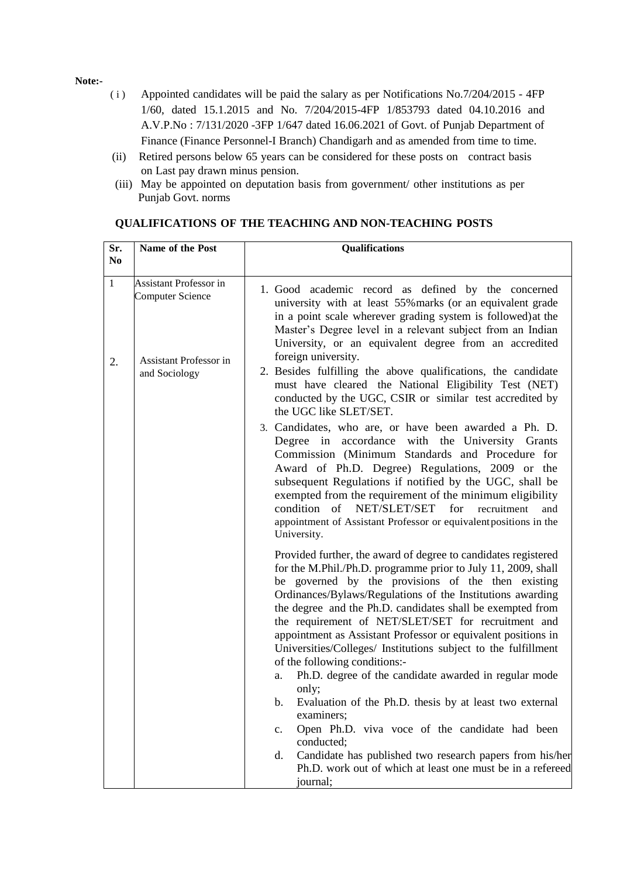**Note:-**

- ( i ) Appointed candidates will be paid the salary as per Notifications No.7/204/2015 4FP 1/60, dated 15.1.2015 and No. 7/204/2015-4FP 1/853793 dated 04.10.2016 and A.V.P.No : 7/131/2020 -3FP 1/647 dated 16.06.2021 of Govt. of Punjab Department of Finance (Finance Personnel-I Branch) Chandigarh and as amended from time to time.
- (ii) Retired persons below 65 years can be considered for these posts on contract basis on Last pay drawn minus pension.
- (iii) May be appointed on deputation basis from government/ other institutions as per Punjab Govt. norms

| Sr.<br>No    | Name of the Post                                         | <b>Qualifications</b>                                                                                                                                                                                                                                                                                                                                                                                                                                                                                                                                                                                                                                                                                                                                                                                                                                                                                                 |
|--------------|----------------------------------------------------------|-----------------------------------------------------------------------------------------------------------------------------------------------------------------------------------------------------------------------------------------------------------------------------------------------------------------------------------------------------------------------------------------------------------------------------------------------------------------------------------------------------------------------------------------------------------------------------------------------------------------------------------------------------------------------------------------------------------------------------------------------------------------------------------------------------------------------------------------------------------------------------------------------------------------------|
| $\mathbf{1}$ | <b>Assistant Professor in</b><br><b>Computer Science</b> | 1. Good academic record as defined by the concerned<br>university with at least 55% marks (or an equivalent grade<br>in a point scale wherever grading system is followed) at the<br>Master's Degree level in a relevant subject from an Indian<br>University, or an equivalent degree from an accredited                                                                                                                                                                                                                                                                                                                                                                                                                                                                                                                                                                                                             |
| 2.           | <b>Assistant Professor in</b><br>and Sociology           | foreign university.<br>2. Besides fulfilling the above qualifications, the candidate<br>must have cleared the National Eligibility Test (NET)<br>conducted by the UGC, CSIR or similar test accredited by<br>the UGC like SLET/SET.                                                                                                                                                                                                                                                                                                                                                                                                                                                                                                                                                                                                                                                                                   |
|              |                                                          | 3. Candidates, who are, or have been awarded a Ph. D.<br>Degree in accordance with the University Grants<br>Commission (Minimum Standards and Procedure for<br>Award of Ph.D. Degree) Regulations, 2009 or the<br>subsequent Regulations if notified by the UGC, shall be<br>exempted from the requirement of the minimum eligibility<br>condition of<br>NET/SLET/SET<br>for<br>recruitment<br>and<br>appointment of Assistant Professor or equivalent positions in the<br>University.                                                                                                                                                                                                                                                                                                                                                                                                                                |
|              |                                                          | Provided further, the award of degree to candidates registered<br>for the M.Phil./Ph.D. programme prior to July 11, 2009, shall<br>be governed by the provisions of the then existing<br>Ordinances/Bylaws/Regulations of the Institutions awarding<br>the degree and the Ph.D. candidates shall be exempted from<br>the requirement of NET/SLET/SET for recruitment and<br>appointment as Assistant Professor or equivalent positions in<br>Universities/Colleges/ Institutions subject to the fulfillment<br>of the following conditions:-<br>Ph.D. degree of the candidate awarded in regular mode<br>a.<br>only;<br>Evaluation of the Ph.D. thesis by at least two external<br>b.<br>examiners;<br>Open Ph.D. viva voce of the candidate had been<br>c.<br>conducted;<br>d.<br>Candidate has published two research papers from his/her<br>Ph.D. work out of which at least one must be in a refereed<br>journal; |

# **QUALIFICATIONS OF THE TEACHING AND NON-TEACHING POSTS**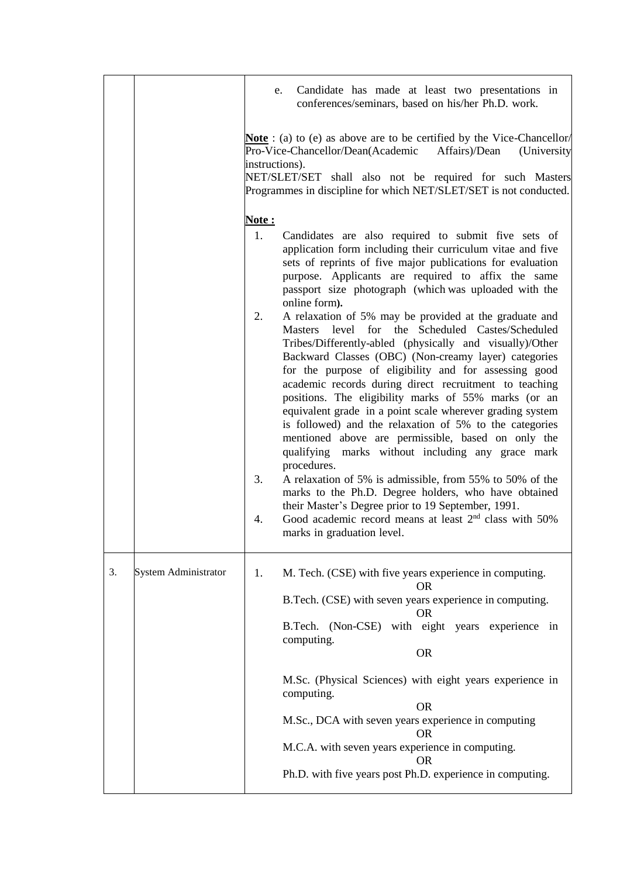|    |                             | Candidate has made at least two presentations in<br>e.<br>conferences/seminars, based on his/her Ph.D. work.                                                                                                                                                                                                                                                                                                                                                                                                                                                                                                                                                                                                                                                                                                                                                                                                                                                                                                                                                                                                                                                                                                                                                               |
|----|-----------------------------|----------------------------------------------------------------------------------------------------------------------------------------------------------------------------------------------------------------------------------------------------------------------------------------------------------------------------------------------------------------------------------------------------------------------------------------------------------------------------------------------------------------------------------------------------------------------------------------------------------------------------------------------------------------------------------------------------------------------------------------------------------------------------------------------------------------------------------------------------------------------------------------------------------------------------------------------------------------------------------------------------------------------------------------------------------------------------------------------------------------------------------------------------------------------------------------------------------------------------------------------------------------------------|
|    |                             | <b>Note</b> : (a) to (e) as above are to be certified by the Vice-Chancellor/<br>Pro-Vice-Chancellor/Dean(Academic<br>Affairs)/Dean<br>(University<br>instructions).<br>NET/SLET/SET shall also not be required for such Masters<br>Programmes in discipline for which NET/SLET/SET is not conducted.                                                                                                                                                                                                                                                                                                                                                                                                                                                                                                                                                                                                                                                                                                                                                                                                                                                                                                                                                                      |
|    |                             | <u>Note :</u>                                                                                                                                                                                                                                                                                                                                                                                                                                                                                                                                                                                                                                                                                                                                                                                                                                                                                                                                                                                                                                                                                                                                                                                                                                                              |
|    |                             | Candidates are also required to submit five sets of<br>1.<br>application form including their curriculum vitae and five<br>sets of reprints of five major publications for evaluation<br>purpose. Applicants are required to affix the same<br>passport size photograph (which was uploaded with the<br>online form).<br>2.<br>A relaxation of 5% may be provided at the graduate and<br>Masters level for the Scheduled Castes/Scheduled<br>Tribes/Differently-abled (physically and visually)/Other<br>Backward Classes (OBC) (Non-creamy layer) categories<br>for the purpose of eligibility and for assessing good<br>academic records during direct recruitment to teaching<br>positions. The eligibility marks of 55% marks (or an<br>equivalent grade in a point scale wherever grading system<br>is followed) and the relaxation of 5% to the categories<br>mentioned above are permissible, based on only the<br>qualifying marks without including any grace mark<br>procedures.<br>3.<br>A relaxation of 5% is admissible, from 55% to 50% of the<br>marks to the Ph.D. Degree holders, who have obtained<br>their Master's Degree prior to 19 September, 1991.<br>Good academic record means at least $2nd$ class with 50%<br>4.<br>marks in graduation level. |
| 3. | <b>System Administrator</b> | M. Tech. (CSE) with five years experience in computing.<br>1.                                                                                                                                                                                                                                                                                                                                                                                                                                                                                                                                                                                                                                                                                                                                                                                                                                                                                                                                                                                                                                                                                                                                                                                                              |
|    |                             | <b>OR</b><br>B.Tech. (CSE) with seven years experience in computing.<br>7R                                                                                                                                                                                                                                                                                                                                                                                                                                                                                                                                                                                                                                                                                                                                                                                                                                                                                                                                                                                                                                                                                                                                                                                                 |
|    |                             | with eight years experience in<br>B.Tech. (Non-CSE)<br>computing.                                                                                                                                                                                                                                                                                                                                                                                                                                                                                                                                                                                                                                                                                                                                                                                                                                                                                                                                                                                                                                                                                                                                                                                                          |
|    |                             | <b>OR</b>                                                                                                                                                                                                                                                                                                                                                                                                                                                                                                                                                                                                                                                                                                                                                                                                                                                                                                                                                                                                                                                                                                                                                                                                                                                                  |
|    |                             | M.Sc. (Physical Sciences) with eight years experience in<br>computing.<br><b>OR</b>                                                                                                                                                                                                                                                                                                                                                                                                                                                                                                                                                                                                                                                                                                                                                                                                                                                                                                                                                                                                                                                                                                                                                                                        |
|    |                             | M.Sc., DCA with seven years experience in computing<br><b>OR</b>                                                                                                                                                                                                                                                                                                                                                                                                                                                                                                                                                                                                                                                                                                                                                                                                                                                                                                                                                                                                                                                                                                                                                                                                           |
|    |                             | M.C.A. with seven years experience in computing.<br>7R                                                                                                                                                                                                                                                                                                                                                                                                                                                                                                                                                                                                                                                                                                                                                                                                                                                                                                                                                                                                                                                                                                                                                                                                                     |
|    |                             | Ph.D. with five years post Ph.D. experience in computing.                                                                                                                                                                                                                                                                                                                                                                                                                                                                                                                                                                                                                                                                                                                                                                                                                                                                                                                                                                                                                                                                                                                                                                                                                  |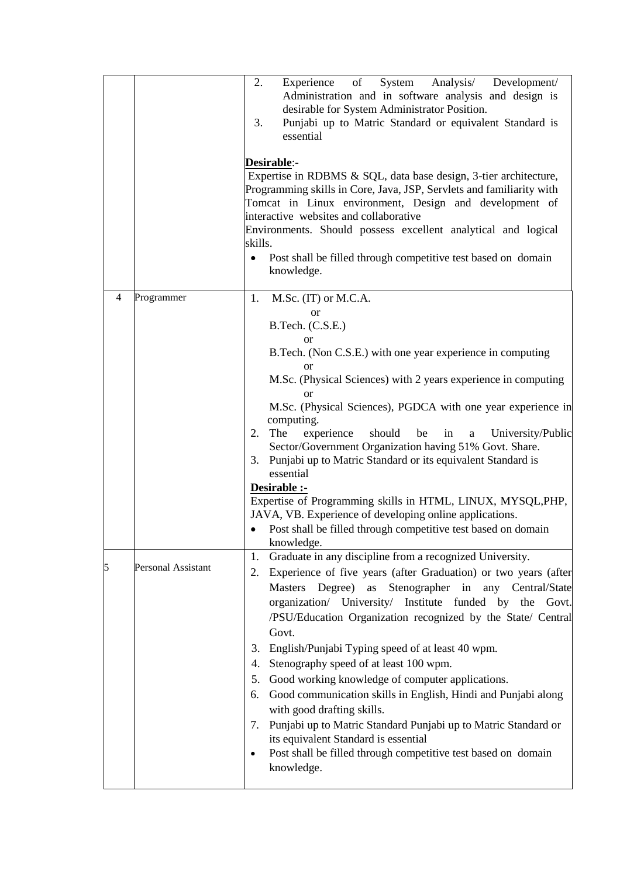|                |                    | of<br>2.<br>System<br>Analysis/<br>Experience<br>Development/<br>Administration and in software analysis and design is<br>desirable for System Administrator Position.<br>Punjabi up to Matric Standard or equivalent Standard is<br>3.<br>essential<br>Desirable:-<br>Expertise in RDBMS & SQL, data base design, 3-tier architecture,<br>Programming skills in Core, Java, JSP, Servlets and familiarity with<br>Tomcat in Linux environment, Design and development of<br>interactive websites and collaborative<br>Environments. Should possess excellent analytical and logical<br>skills.<br>Post shall be filled through competitive test based on domain<br>$\bullet$<br>knowledge.                                                                                                                               |
|----------------|--------------------|---------------------------------------------------------------------------------------------------------------------------------------------------------------------------------------------------------------------------------------------------------------------------------------------------------------------------------------------------------------------------------------------------------------------------------------------------------------------------------------------------------------------------------------------------------------------------------------------------------------------------------------------------------------------------------------------------------------------------------------------------------------------------------------------------------------------------|
| $\overline{4}$ | Programmer         | M.Sc. (IT) or M.C.A.<br>1.<br>or<br>B.Tech. (C.S.E.)<br><sub>or</sub><br>B.Tech. (Non C.S.E.) with one year experience in computing<br>or<br>M.Sc. (Physical Sciences) with 2 years experience in computing<br>Ωr<br>M.Sc. (Physical Sciences), PGDCA with one year experience in<br>computing.<br>The<br>experience<br>should<br>be<br>University/Public<br>2.<br>in<br>$\mathbf{a}$<br>Sector/Government Organization having 51% Govt. Share.<br>3. Punjabi up to Matric Standard or its equivalent Standard is<br>essential<br>Desirable :-<br>Expertise of Programming skills in HTML, LINUX, MYSQL, PHP,<br>JAVA, VB. Experience of developing online applications.<br>• Post shall be filled through competitive test based on domain                                                                               |
| 5              | Personal Assistant | knowledge.<br>Graduate in any discipline from a recognized University.<br>1.<br>Experience of five years (after Graduation) or two years (after<br>2.<br>Masters Degree) as Stenographer in any Central/State<br>organization/ University/ Institute funded by the Govt.<br>/PSU/Education Organization recognized by the State/ Central<br>Govt.<br>English/Punjabi Typing speed of at least 40 wpm.<br>3.<br>Stenography speed of at least 100 wpm.<br>4.<br>Good working knowledge of computer applications.<br>5.<br>Good communication skills in English, Hindi and Punjabi along<br>6.<br>with good drafting skills.<br>Punjabi up to Matric Standard Punjabi up to Matric Standard or<br>7.<br>its equivalent Standard is essential<br>Post shall be filled through competitive test based on domain<br>knowledge. |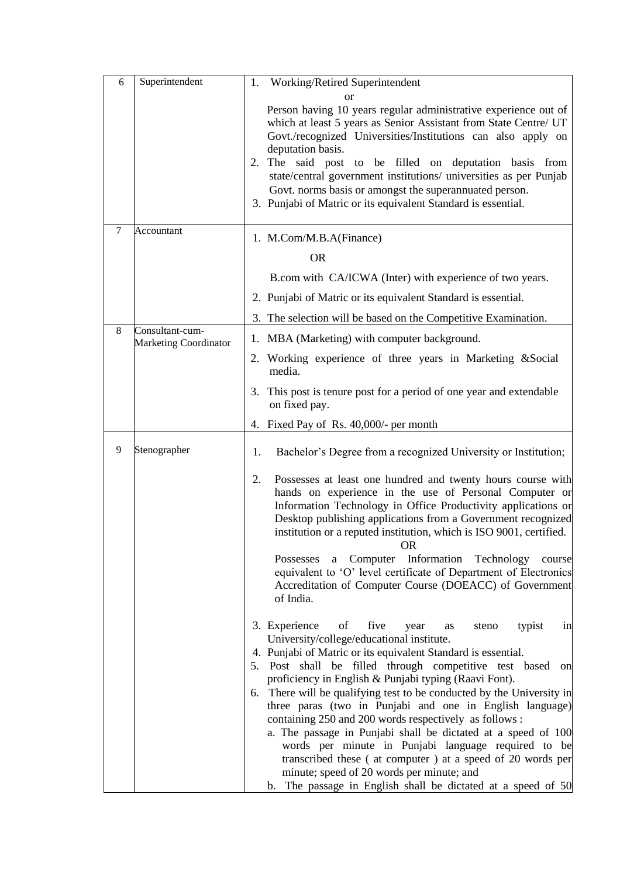| 6      | Superintendent               | Working/Retired Superintendent<br>1.                                                                                                                                                                                                                                                                                                                                                                                                                                                                                                                                                                                                                                                                                                                                                                              |
|--------|------------------------------|-------------------------------------------------------------------------------------------------------------------------------------------------------------------------------------------------------------------------------------------------------------------------------------------------------------------------------------------------------------------------------------------------------------------------------------------------------------------------------------------------------------------------------------------------------------------------------------------------------------------------------------------------------------------------------------------------------------------------------------------------------------------------------------------------------------------|
|        |                              | <b>or</b><br>Person having 10 years regular administrative experience out of<br>which at least 5 years as Senior Assistant from State Centre/ UT<br>Govt./recognized Universities/Institutions can also apply on<br>deputation basis.<br>2. The said post to be filled on deputation basis from<br>state/central government institutions/ universities as per Punjab<br>Govt. norms basis or amongst the superannuated person.<br>3. Punjabi of Matric or its equivalent Standard is essential.                                                                                                                                                                                                                                                                                                                   |
| $\tau$ | Accountant                   | 1. M.Com/M.B.A(Finance)<br><b>OR</b>                                                                                                                                                                                                                                                                                                                                                                                                                                                                                                                                                                                                                                                                                                                                                                              |
|        |                              | B.com with CA/ICWA (Inter) with experience of two years.                                                                                                                                                                                                                                                                                                                                                                                                                                                                                                                                                                                                                                                                                                                                                          |
|        |                              | 2. Punjabi of Matric or its equivalent Standard is essential.                                                                                                                                                                                                                                                                                                                                                                                                                                                                                                                                                                                                                                                                                                                                                     |
|        |                              | 3. The selection will be based on the Competitive Examination.                                                                                                                                                                                                                                                                                                                                                                                                                                                                                                                                                                                                                                                                                                                                                    |
| 8      | Consultant-cum-              |                                                                                                                                                                                                                                                                                                                                                                                                                                                                                                                                                                                                                                                                                                                                                                                                                   |
|        | <b>Marketing Coordinator</b> | 1. MBA (Marketing) with computer background.<br>Working experience of three years in Marketing &Social                                                                                                                                                                                                                                                                                                                                                                                                                                                                                                                                                                                                                                                                                                            |
|        |                              | 2.<br>media.                                                                                                                                                                                                                                                                                                                                                                                                                                                                                                                                                                                                                                                                                                                                                                                                      |
|        |                              | This post is tenure post for a period of one year and extendable<br>3.<br>on fixed pay.                                                                                                                                                                                                                                                                                                                                                                                                                                                                                                                                                                                                                                                                                                                           |
|        |                              | 4. Fixed Pay of Rs. 40,000/- per month                                                                                                                                                                                                                                                                                                                                                                                                                                                                                                                                                                                                                                                                                                                                                                            |
| 9      | Stenographer                 | Bachelor's Degree from a recognized University or Institution;<br>1.                                                                                                                                                                                                                                                                                                                                                                                                                                                                                                                                                                                                                                                                                                                                              |
|        |                              | 2.<br>Possesses at least one hundred and twenty hours course with<br>hands on experience in the use of Personal Computer or<br>Information Technology in Office Productivity applications or<br>Desktop publishing applications from a Government recognized<br>institution or a reputed institution, which is ISO 9001, certified.<br><b>OR</b><br>Possesses a Computer Information Technology<br>course<br>equivalent to 'O' level certificate of Department of Electronics<br>Accreditation of Computer Course (DOEACC) of Government<br>of India.                                                                                                                                                                                                                                                             |
|        |                              | 3. Experience<br>five<br>of<br>typist<br>year<br>steno<br>as<br>in<br>University/college/educational institute.<br>4. Punjabi of Matric or its equivalent Standard is essential.<br>Post shall be filled through competitive test based<br>5.<br>on<br>proficiency in English & Punjabi typing (Raavi Font).<br>There will be qualifying test to be conducted by the University in<br>6.<br>three paras (two in Punjabi and one in English language)<br>containing 250 and 200 words respectively as follows :<br>a. The passage in Punjabi shall be dictated at a speed of 100<br>words per minute in Punjabi language required to be<br>transcribed these (at computer) at a speed of 20 words per<br>minute; speed of 20 words per minute; and<br>b. The passage in English shall be dictated at a speed of 50 |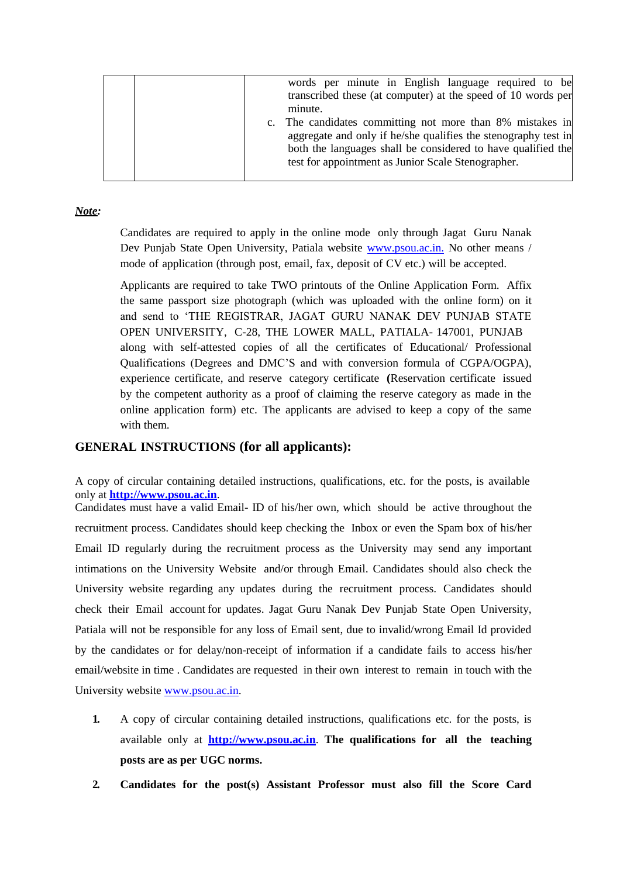|  | words per minute in English language required to be<br>transcribed these (at computer) at the speed of 10 words per<br>minute.<br>c. The candidates committing not more than 8% mistakes in<br>aggregate and only if he/she qualifies the stenography test in<br>both the languages shall be considered to have qualified the<br>test for appointment as Junior Scale Stenographer. |
|--|-------------------------------------------------------------------------------------------------------------------------------------------------------------------------------------------------------------------------------------------------------------------------------------------------------------------------------------------------------------------------------------|
|--|-------------------------------------------------------------------------------------------------------------------------------------------------------------------------------------------------------------------------------------------------------------------------------------------------------------------------------------------------------------------------------------|

## *Note:*

Candidates are required to apply in the online mode only through Jagat Guru Nanak Dev Punjab State Open University, Patiala website [www.psou.ac.in.](http://www.psou.ac.in/) No other means / mode of application (through post, email, fax, deposit of CV etc.) will be accepted.

Applicants are required to take TWO printouts of the Online Application Form. Affix the same passport size photograph (which was uploaded with the online form) on it and send to 'THE REGISTRAR, JAGAT GURU NANAK DEV PUNJAB STATE OPEN UNIVERSITY, C-28, THE LOWER MALL, PATIALA- 147001, PUNJAB along with self-attested copies of all the certificates of Educational/ Professional Qualifications (Degrees and DMC'S and with conversion formula of CGPA/OGPA), experience certificate, and reserve category certificate **(**Reservation certificate issued by the competent authority as a proof of claiming the reserve category as made in the online application form) etc. The applicants are advised to keep a copy of the same with them.

### **GENERAL INSTRUCTIONS (for all applicants):**

A copy of circular containing detailed instructions, qualifications, etc. for the posts, is available only at **[http://www.psou.ac.in](http://www.psou.ac.in/)**.

Candidates must have a valid Email- ID of his/her own, which should be active throughout the recruitment process. Candidates should keep checking the Inbox or even the Spam box of his/her Email ID regularly during the recruitment process as the University may send any important intimations on the University Website and/or through Email. Candidates should also check the University website regarding any updates during the recruitment process. Candidates should check their Email account for updates. Jagat Guru Nanak Dev Punjab State Open University, Patiala will not be responsible for any loss of Email sent, due to invalid/wrong Email Id provided by the candidates or for delay/non-receipt of information if a candidate fails to access his/her email/website in time . Candidates are requested in their own interest to remain in touch with the University website [www.psou.ac.in.](http://www.psou.ac.in/)

- **1.** A copy of circular containing detailed instructions, qualifications etc. for the posts, is available only at **[http://www.psou.ac.in](http://www.psou.ac.in/)**. **The qualifications for all the teaching posts are as per UGC norms.**
- **2. Candidates for the post(s) Assistant Professor must also fill the Score Card**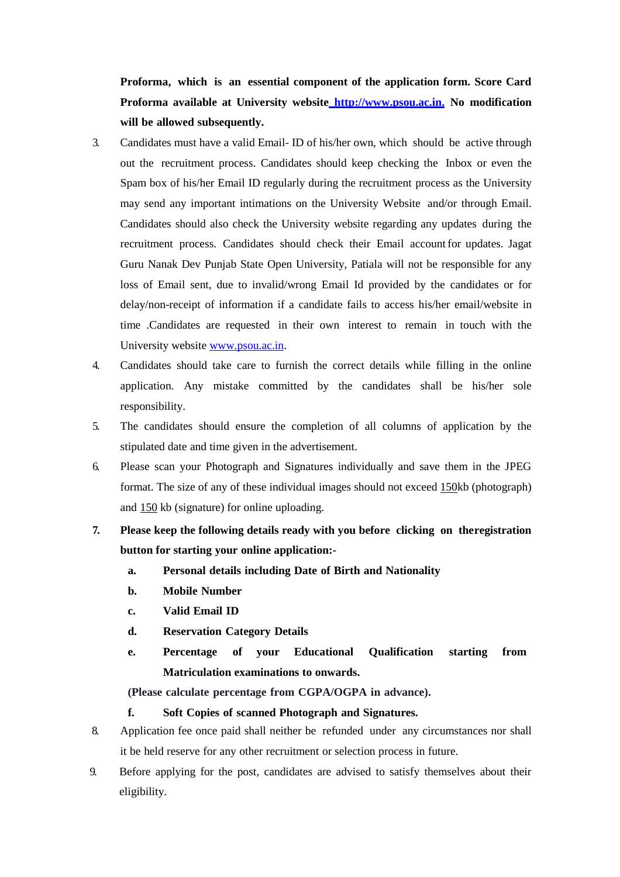**Proforma, which is an essential component of the application form. Score Card Proforma available at University website [http://www.psou.ac.in.](http://www.psou.ac.in/) No modification will be allowed subsequently.**

- 3. Candidates must have a valid Email- ID of his/her own, which should be active through out the recruitment process. Candidates should keep checking the Inbox or even the Spam box of his/her Email ID regularly during the recruitment process as the University may send any important intimations on the University Website and/or through Email. Candidates should also check the University website regarding any updates during the recruitment process. Candidates should check their Email account for updates. Jagat Guru Nanak Dev Punjab State Open University, Patiala will not be responsible for any loss of Email sent, due to invalid/wrong Email Id provided by the candidates or for delay/non-receipt of information if a candidate fails to access his/her email/website in time .Candidates are requested in their own interest to remain in touch with the University website [www.psou.ac.in.](http://www.psou.ac.in/)
- 4. Candidates should take care to furnish the correct details while filling in the online application. Any mistake committed by the candidates shall be his/her sole responsibility.
- 5. The candidates should ensure the completion of all columns of application by the stipulated date and time given in the advertisement.
- 6. Please scan your Photograph and Signatures individually and save them in the JPEG format. The size of any of these individual images should not exceed 150kb (photograph) and 150 kb (signature) for online uploading.
- **7. Please keep the following details ready with you before clicking on theregistration button for starting your online application:**
	- **a. Personal details including Date of Birth and Nationality**
	- **b. Mobile Number**
	- **c. Valid Email ID**
	- **d. Reservation Category Details**
	- **e. Percentage of your Educational Qualification starting from Matriculation examinations to onwards.**

**(Please calculate percentage from CGPA/OGPA in advance).**

### **f. Soft Copies of scanned Photograph and Signatures.**

- 8. Application fee once paid shall neither be refunded under any circumstances nor shall it be held reserve for any other recruitment or selection process in future.
- 9. Before applying for the post, candidates are advised to satisfy themselves about their eligibility.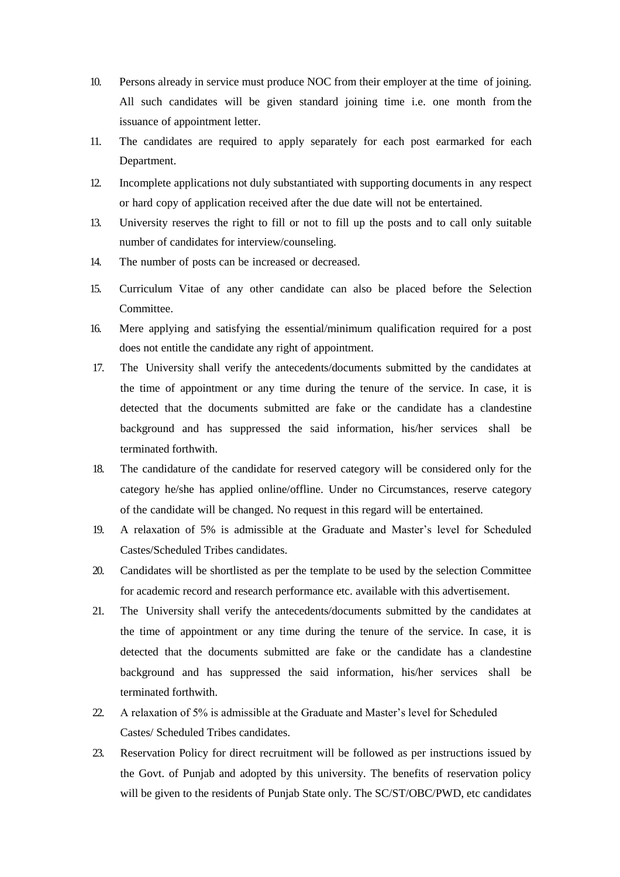- 10. Persons already in service must produce NOC from their employer at the time of joining. All such candidates will be given standard joining time i.e. one month from the issuance of appointment letter.
- 11. The candidates are required to apply separately for each post earmarked for each Department.
- 12. Incomplete applications not duly substantiated with supporting documents in any respect or hard copy of application received after the due date will not be entertained.
- 13. University reserves the right to fill or not to fill up the posts and to call only suitable number of candidates for interview/counseling.
- 14. The number of posts can be increased or decreased.
- 15. Curriculum Vitae of any other candidate can also be placed before the Selection Committee.
- 16. Mere applying and satisfying the essential/minimum qualification required for a post does not entitle the candidate any right of appointment.
- 17. The University shall verify the antecedents/documents submitted by the candidates at the time of appointment or any time during the tenure of the service. In case, it is detected that the documents submitted are fake or the candidate has a clandestine background and has suppressed the said information, his/her services shall be terminated forthwith.
- 18. The candidature of the candidate for reserved category will be considered only for the category he/she has applied online/offline. Under no Circumstances, reserve category of the candidate will be changed. No request in this regard will be entertained.
- 19. A relaxation of 5% is admissible at the Graduate and Master's level for Scheduled Castes/Scheduled Tribes candidates.
- 20. Candidates will be shortlisted as per the template to be used by the selection Committee for academic record and research performance etc. available with this advertisement.
- 21. The University shall verify the antecedents/documents submitted by the candidates at the time of appointment or any time during the tenure of the service. In case, it is detected that the documents submitted are fake or the candidate has a clandestine background and has suppressed the said information, his/her services shall be terminated forthwith.
- 22. A relaxation of 5% is admissible at the Graduate and Master's level for Scheduled Castes/ Scheduled Tribes candidates.
- 23. Reservation Policy for direct recruitment will be followed as per instructions issued by the Govt. of Punjab and adopted by this university. The benefits of reservation policy will be given to the residents of Punjab State only. The SC/ST/OBC/PWD, etc candidates